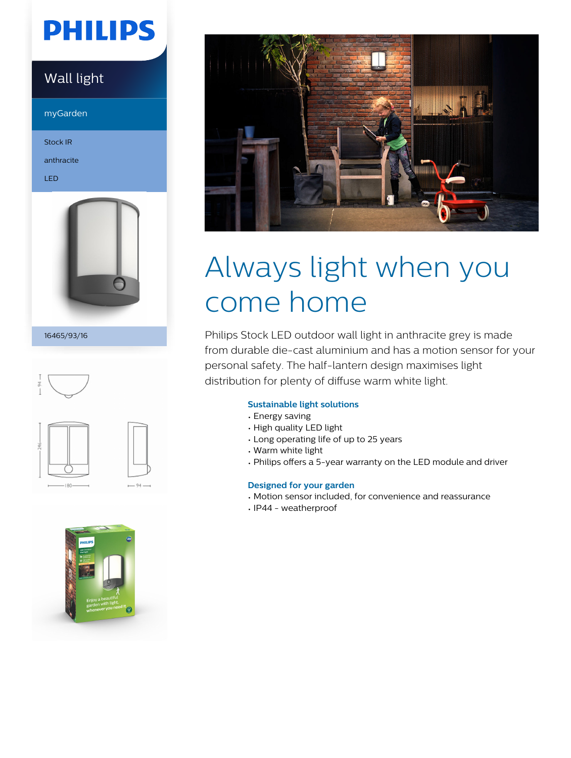# **PHILIPS**

## Wall light

myGarden

Stock IR

anthracite

LED



16465/93/16







# Always light when you come home

Philips Stock LED outdoor wall light in anthracite grey is made from durable die-cast aluminium and has a motion sensor for your personal safety. The half-lantern design maximises light distribution for plenty of diffuse warm white light.

## **Sustainable light solutions**

- Energy saving
- High quality LED light
- Long operating life of up to 25 years
- Warm white light
- Philips offers a 5-year warranty on the LED module and driver

## **Designed for your garden**

- Motion sensor included, for convenience and reassurance
- IP44 weatherproof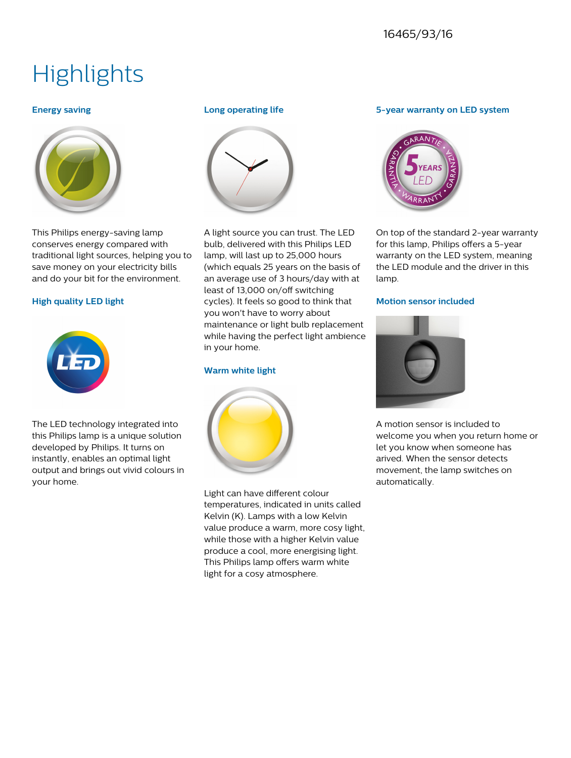## 16465/93/16

## **Highlights**

## **Energy saving**



This Philips energy-saving lamp conserves energy compared with traditional light sources, helping you to save money on your electricity bills and do your bit for the environment.

## **High quality LED light**



The LED technology integrated into this Philips lamp is a unique solution developed by Philips. It turns on instantly, enables an optimal light output and brings out vivid colours in your home.

## **Long operating life**



A light source you can trust. The LED bulb, delivered with this Philips LED lamp, will last up to 25,000 hours (which equals 25 years on the basis of an average use of 3 hours/day with at least of 13,000 on/off switching cycles). It feels so good to think that you won't have to worry about maintenance or light bulb replacement while having the perfect light ambience in your home.

## **Warm white light**



Light can have different colour temperatures, indicated in units called Kelvin (K). Lamps with a low Kelvin value produce a warm, more cosy light, while those with a higher Kelvin value produce a cool, more energising light. This Philips lamp offers warm white light for a cosy atmosphere.

## **5-year warranty on LED system**



On top of the standard 2-year warranty for this lamp, Philips offers a 5-year warranty on the LED system, meaning the LED module and the driver in this lamp.

## **Motion sensor included**



A motion sensor is included to welcome you when you return home or let you know when someone has arived. When the sensor detects movement, the lamp switches on automatically.